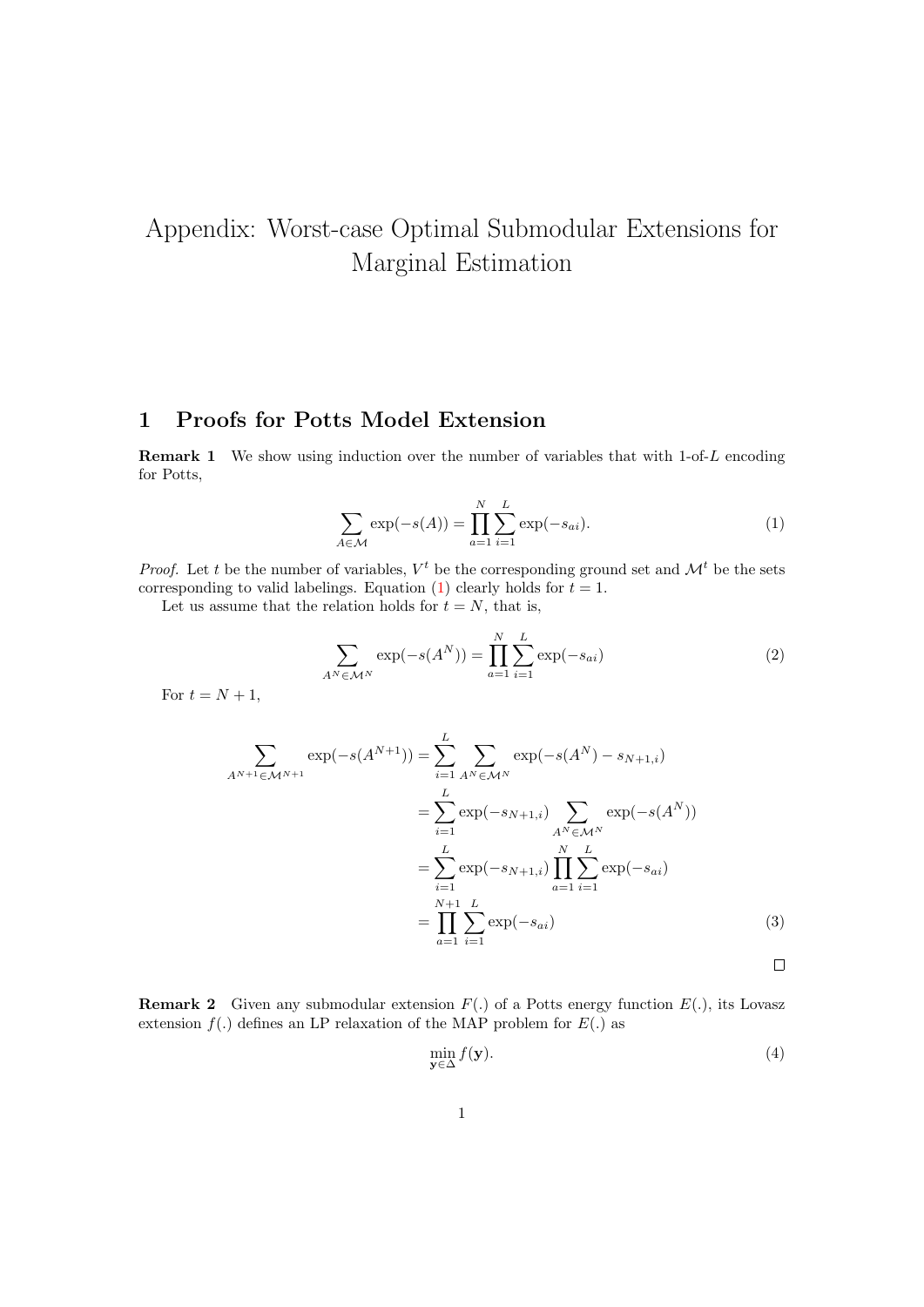## Appendix: Worst-case Optimal Submodular Extensions for Marginal Estimation

## 1 Proofs for Potts Model Extension

**Remark 1** We show using induction over the number of variables that with  $1$ -of-L encoding for Potts,

<span id="page-0-0"></span>
$$
\sum_{A \in \mathcal{M}} \exp(-s(A)) = \prod_{a=1}^{N} \sum_{i=1}^{L} \exp(-s_{ai}).
$$
 (1)

*Proof.* Let t be the number of variables,  $V^t$  be the corresponding ground set and  $\mathcal{M}^t$  be the sets corresponding to valid labelings. Equation [\(1\)](#page-0-0) clearly holds for  $t = 1$ .

Let us assume that the relation holds for  $t = N$ , that is,

$$
\sum_{A^N \in \mathcal{M}^N} \exp(-s(A^N)) = \prod_{a=1}^N \sum_{i=1}^L \exp(-s_{ai})
$$
 (2)

For  $t = N + 1$ ,

$$
\sum_{A^{N+1} \in \mathcal{M}^{N+1}} \exp(-s(A^{N+1})) = \sum_{i=1}^{L} \sum_{A^{N} \in \mathcal{M}^{N}} \exp(-s(A^{N}) - s_{N+1,i})
$$
  
\n
$$
= \sum_{i=1}^{L} \exp(-s_{N+1,i}) \sum_{A^{N} \in \mathcal{M}^{N}} \exp(-s(A^{N}))
$$
  
\n
$$
= \sum_{i=1}^{L} \exp(-s_{N+1,i}) \prod_{a=1}^{N} \sum_{i=1}^{L} \exp(-s_{ai})
$$
  
\n
$$
= \prod_{a=1}^{N+1} \sum_{i=1}^{L} \exp(-s_{ai})
$$
 (3)

**Remark 2** Given any submodular extension  $F(.)$  of a Potts energy function  $E(.)$ , its Lovasz extension  $f(.)$  defines an LP relaxation of the MAP problem for  $E(.)$  as

$$
\min_{\mathbf{y} \in \Delta} f(\mathbf{y}).\tag{4}
$$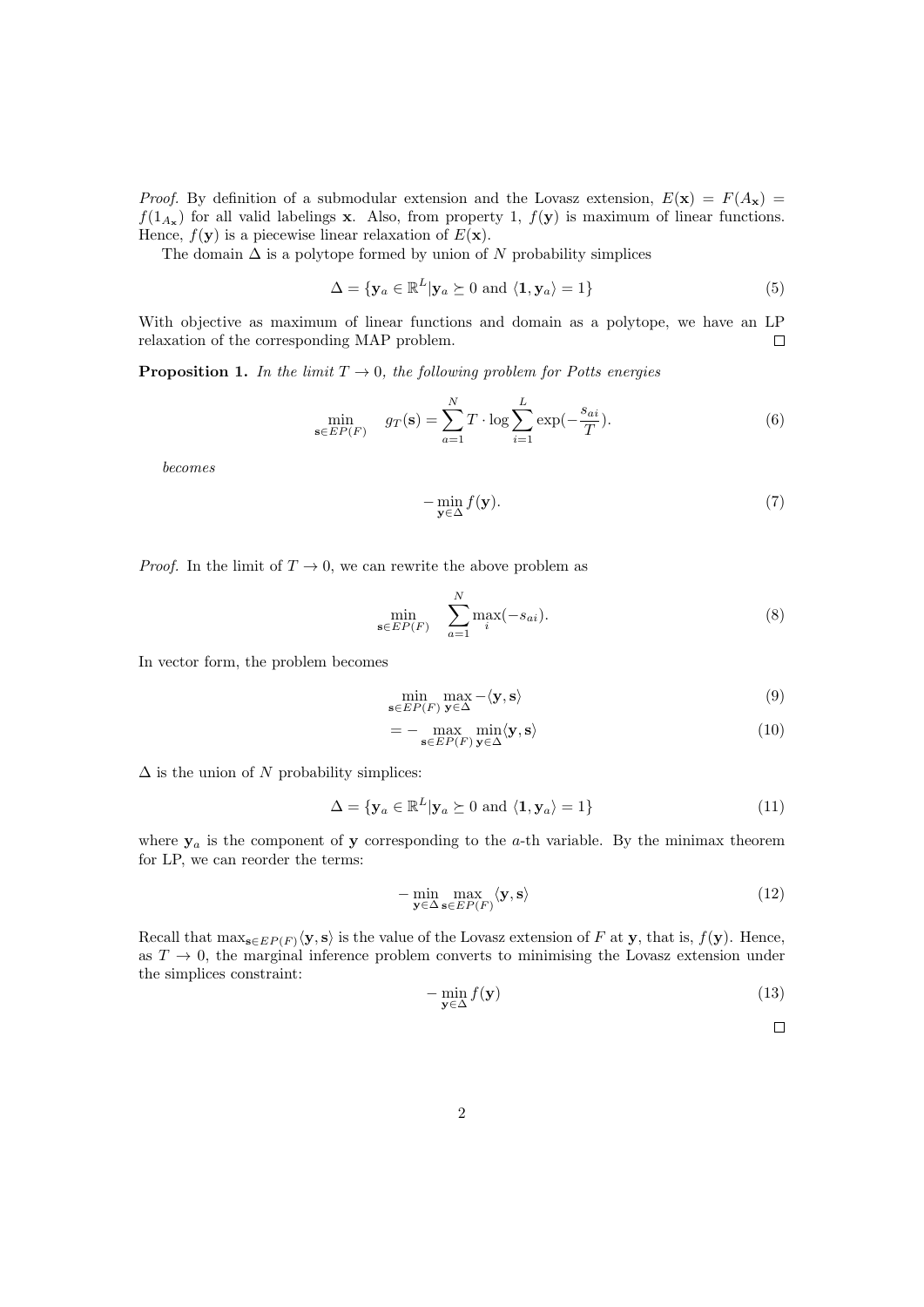*Proof.* By definition of a submodular extension and the Lovasz extension,  $E(\mathbf{x}) = F(A_{\mathbf{x}})$  $f(1_{A_{\mathbf{x}}})$  for all valid labelings **x**. Also, from property 1,  $f(\mathbf{y})$  is maximum of linear functions. Hence,  $f(\mathbf{y})$  is a piecewise linear relaxation of  $E(\mathbf{x})$ .

The domain  $\Delta$  is a polytope formed by union of N probability simplices

$$
\Delta = \{ \mathbf{y}_a \in \mathbb{R}^L | \mathbf{y}_a \succeq 0 \text{ and } \langle \mathbf{1}, \mathbf{y}_a \rangle = 1 \}
$$
\n<sup>(5)</sup>

With objective as maximum of linear functions and domain as a polytope, we have an LP relaxation of the corresponding MAP problem.  $\Box$ 

**Proposition 1.** In the limit  $T \rightarrow 0$ , the following problem for Potts energies

$$
\min_{\mathbf{s}\in EP(F)} \quad g_T(\mathbf{s}) = \sum_{a=1}^N T \cdot \log \sum_{i=1}^L \exp(-\frac{s_{ai}}{T}).\tag{6}
$$

becomes

$$
-\min_{\mathbf{y}\in\Delta}f(\mathbf{y}).\tag{7}
$$

*Proof.* In the limit of  $T \to 0$ , we can rewrite the above problem as

$$
\min_{\mathbf{s}\in EP(F)} \quad \sum_{a=1}^{N} \max_{i}(-s_{ai}).\tag{8}
$$

In vector form, the problem becomes

$$
\min_{\mathbf{s}\in EP(F)} \max_{\mathbf{y}\in\Delta} -\langle \mathbf{y}, \mathbf{s}\rangle\tag{9}
$$

$$
= - \max_{\mathbf{s} \in EP(F)} \min_{\mathbf{y} \in \Delta} \langle \mathbf{y}, \mathbf{s} \rangle \tag{10}
$$

 $\Delta$  is the union of N probability simplices:

$$
\Delta = \{ \mathbf{y}_a \in \mathbb{R}^L | \mathbf{y}_a \succeq 0 \text{ and } \langle \mathbf{1}, \mathbf{y}_a \rangle = 1 \}
$$
\n(11)

where  $y_a$  is the component of y corresponding to the a-th variable. By the minimax theorem for LP, we can reorder the terms:

$$
-\min_{\mathbf{y}\in\Delta}\max_{\mathbf{s}\in EP(F)}\langle\mathbf{y},\mathbf{s}\rangle\tag{12}
$$

Recall that  $\max_{\mathbf{s}\in EP(F)}\langle \mathbf{y},\mathbf{s}\rangle$  is the value of the Lovasz extension of F at y, that is,  $f(\mathbf{y})$ . Hence, as  $T \to 0$ , the marginal inference problem converts to minimising the Lovasz extension under the simplices constraint:

$$
-\min_{\mathbf{y}\in\Delta}f(\mathbf{y})\tag{13}
$$

 $\Box$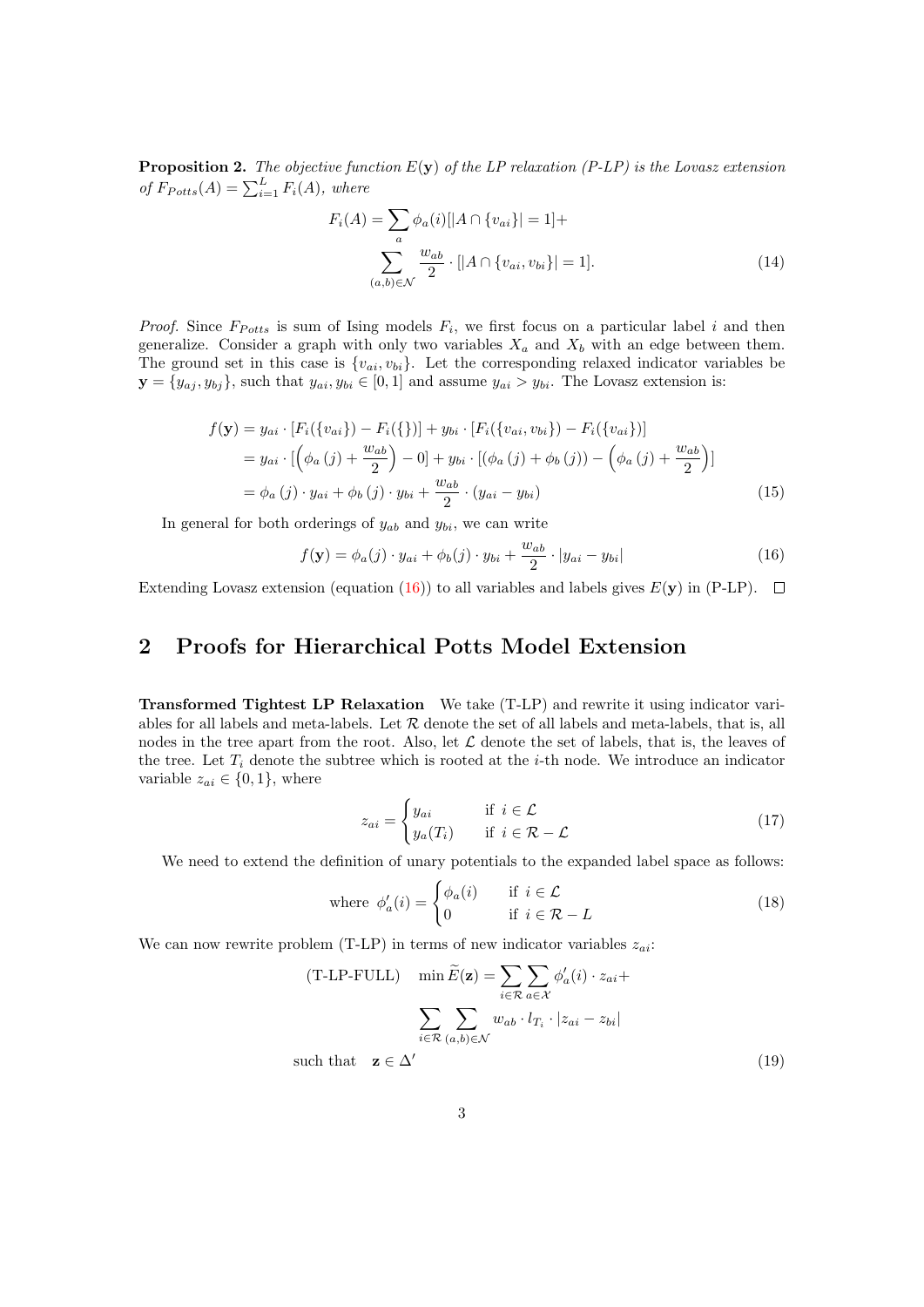**Proposition 2.** The objective function  $E(y)$  of the LP relaxation (P-LP) is the Lovasz extension of  $F_{Potts}(A) = \sum_{i=1}^{L} F_i(A)$ , where

<span id="page-2-1"></span>
$$
F_i(A) = \sum_{a} \phi_a(i)[|A \cap \{v_{ai}\}| = 1] + \sum_{(a,b) \in \mathcal{N}} \frac{w_{ab}}{2} \cdot [|A \cap \{v_{ai}, v_{bi}\}| = 1].
$$
 (14)

*Proof.* Since  $F_{Potts}$  is sum of Ising models  $F_i$ , we first focus on a particular label i and then generalize. Consider a graph with only two variables  $X_a$  and  $X_b$  with an edge between them. The ground set in this case is  ${v_{ai}, v_{bi}}$ . Let the corresponding relaxed indicator variables be  $\mathbf{y} = \{y_{aj}, y_{bj}\}\$ , such that  $y_{ai}, y_{bi} \in [0, 1]$  and assume  $y_{ai} > y_{bi}$ . The Lovasz extension is:

$$
f(\mathbf{y}) = y_{ai} \cdot [F_i({v_{ai}}) - F_i({})] + y_{bi} \cdot [F_i({v_{ai}, v_{bi}}) - F_i({v_{ai}})]
$$
  
=  $y_{ai} \cdot [(\phi_a(j) + \frac{w_{ab}}{2}) - 0] + y_{bi} \cdot [(\phi_a(j) + \phi_b(j)) - (\phi_a(j) + \frac{w_{ab}}{2})]$   
=  $\phi_a(j) \cdot y_{ai} + \phi_b(j) \cdot y_{bi} + \frac{w_{ab}}{2} \cdot (y_{ai} - y_{bi})$  (15)

In general for both orderings of  $y_{ab}$  and  $y_{bi}$ , we can write

<span id="page-2-0"></span>
$$
f(\mathbf{y}) = \phi_a(j) \cdot y_{ai} + \phi_b(j) \cdot y_{bi} + \frac{w_{ab}}{2} \cdot |y_{ai} - y_{bi}| \tag{16}
$$

Extending Lovasz extension (equation [\(16\)](#page-2-0)) to all variables and labels gives  $E(\mathbf{v})$  in (P-LP).  $\Box$ 

## 2 Proofs for Hierarchical Potts Model Extension

Transformed Tightest LP Relaxation We take (T-LP) and rewrite it using indicator variables for all labels and meta-labels. Let  $R$  denote the set of all labels and meta-labels, that is, all nodes in the tree apart from the root. Also, let  $\mathcal L$  denote the set of labels, that is, the leaves of the tree. Let  $T_i$  denote the subtree which is rooted at the *i*-th node. We introduce an indicator variable  $z_{ai} \in \{0, 1\}$ , where

$$
z_{ai} = \begin{cases} y_{ai} & \text{if } i \in \mathcal{L} \\ y_a(T_i) & \text{if } i \in \mathcal{R} - \mathcal{L} \end{cases}
$$
 (17)

We need to extend the definition of unary potentials to the expanded label space as follows:

where 
$$
\phi'_a(i) = \begin{cases} \phi_a(i) & \text{if } i \in \mathcal{L} \\ 0 & \text{if } i \in \mathcal{R} - L \end{cases}
$$
 (18)

We can now rewrite problem (T-LP) in terms of new indicator variables  $z_{ai}$ :

$$
(\text{T-LP-FULL}) \quad \min \widetilde{E}(\mathbf{z}) = \sum_{i \in \mathcal{R}} \sum_{a \in \mathcal{X}} \phi'_a(i) \cdot z_{ai} +
$$
\n
$$
\sum_{i \in \mathcal{R}} \sum_{(a,b) \in \mathcal{N}} w_{ab} \cdot l_{T_i} \cdot |z_{ai} - z_{bi}|
$$
\nsuch that

\n
$$
\mathbf{z} \in \Delta'
$$
\n(19)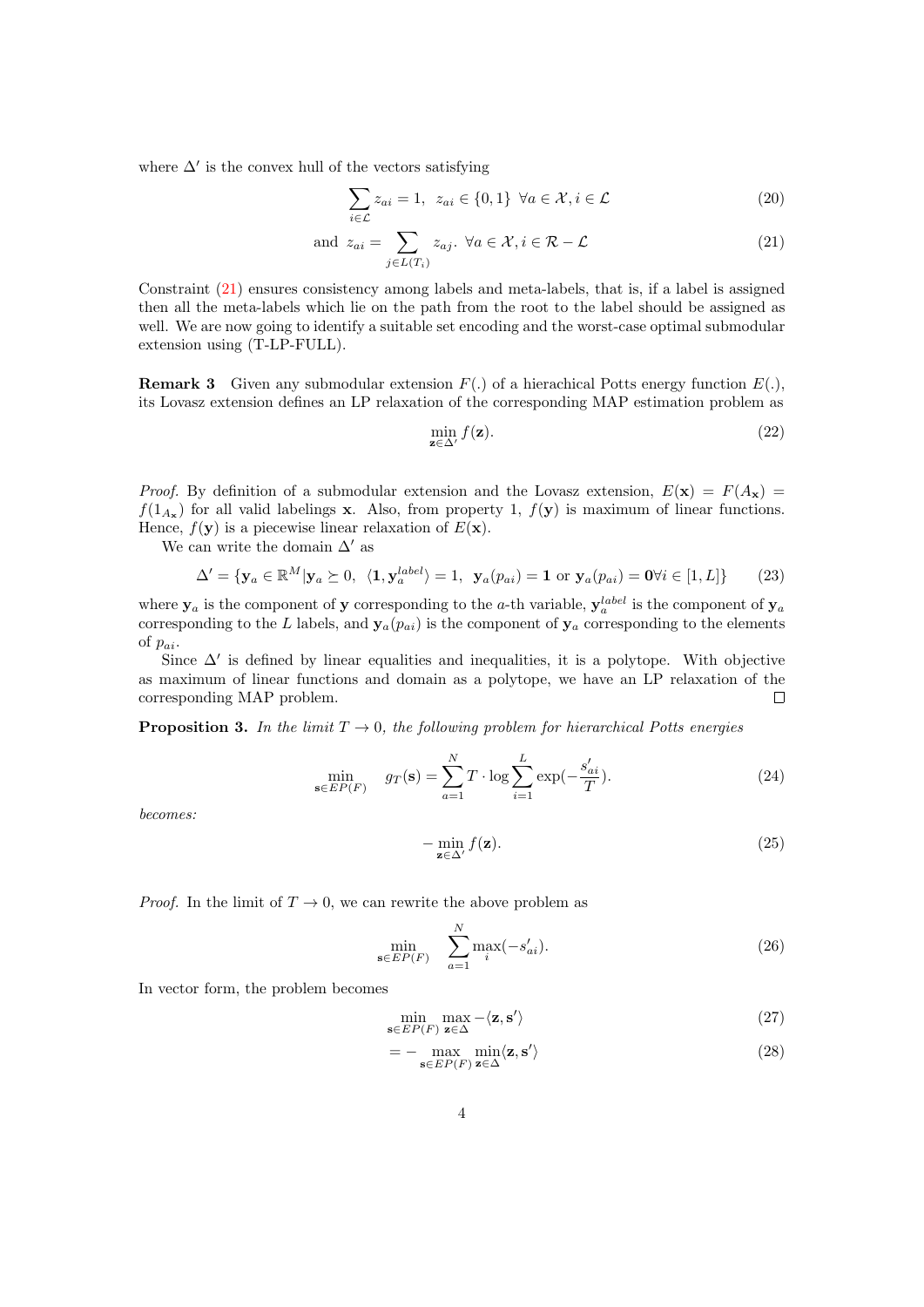where  $\Delta'$  is the convex hull of the vectors satisfying

$$
\sum_{i \in \mathcal{L}} z_{ai} = 1, \ z_{ai} \in \{0, 1\} \ \forall a \in \mathcal{X}, i \in \mathcal{L}
$$
\n
$$
(20)
$$

and 
$$
z_{ai} = \sum_{j \in L(T_i)} z_{aj} \cdot \forall a \in \mathcal{X}, i \in \mathcal{R} - \mathcal{L}
$$
 (21)

Constraint [\(21\)](#page-3-0) ensures consistency among labels and meta-labels, that is, if a label is assigned then all the meta-labels which lie on the path from the root to the label should be assigned as well. We are now going to identify a suitable set encoding and the worst-case optimal submodular extension using (T-LP-FULL).

**Remark 3** Given any submodular extension  $F(.)$  of a hierachical Potts energy function  $E(.)$ , its Lovasz extension defines an LP relaxation of the corresponding MAP estimation problem as

<span id="page-3-0"></span>
$$
\min_{\mathbf{z}\in\Delta'} f(\mathbf{z}).\tag{22}
$$

*Proof.* By definition of a submodular extension and the Lovasz extension,  $E(\mathbf{x}) = F(A_{\mathbf{x}})$  $f(1_{A_{\mathbf{x}}})$  for all valid labelings **x**. Also, from property 1,  $f(\mathbf{y})$  is maximum of linear functions. Hence,  $f(\mathbf{y})$  is a piecewise linear relaxation of  $E(\mathbf{x})$ .

We can write the domain  $\Delta'$  as

$$
\Delta' = \{ \mathbf{y}_a \in \mathbb{R}^M | \mathbf{y}_a \succeq 0, \ \langle \mathbf{1}, \mathbf{y}_a^{label} \rangle = 1, \ \mathbf{y}_a(p_{ai}) = \mathbf{1} \text{ or } \mathbf{y}_a(p_{ai}) = \mathbf{0} \forall i \in [1, L] \} \tag{23}
$$

where  $y_a$  is the component of y corresponding to the a-th variable,  $y_a^{label}$  is the component of  $y_a$ corresponding to the L labels, and  $y_a(p_{ai})$  is the component of  $y_a$  corresponding to the elements of  $p_{ai}$ .

Since  $\Delta'$  is defined by linear equalities and inequalities, it is a polytope. With objective as maximum of linear functions and domain as a polytope, we have an LP relaxation of the corresponding MAP problem.  $\Box$ 

**Proposition 3.** In the limit  $T \rightarrow 0$ , the following problem for hierarchical Potts energies

$$
\min_{\mathbf{s} \in EP(F)} \quad g_T(\mathbf{s}) = \sum_{a=1}^N T \cdot \log \sum_{i=1}^L \exp(-\frac{s'_{ai}}{T}).\tag{24}
$$

becomes:

$$
-\min_{\mathbf{z}\in\Delta'} f(\mathbf{z}).\tag{25}
$$

*Proof.* In the limit of  $T \to 0$ , we can rewrite the above problem as

$$
\min_{\mathbf{s}\in EP(F)} \quad \sum_{a=1}^{N} \max_{i} (-s'_{ai}). \tag{26}
$$

In vector form, the problem becomes

$$
\min_{\mathbf{s}\in EP(F)} \max_{\mathbf{z}\in\Delta} -\langle \mathbf{z}, \mathbf{s}' \rangle
$$
\n(27)

<span id="page-3-1"></span>
$$
= - \max_{\mathbf{s} \in EP(F)} \min_{\mathbf{z} \in \Delta} \langle \mathbf{z}, \mathbf{s}' \rangle
$$
 (28)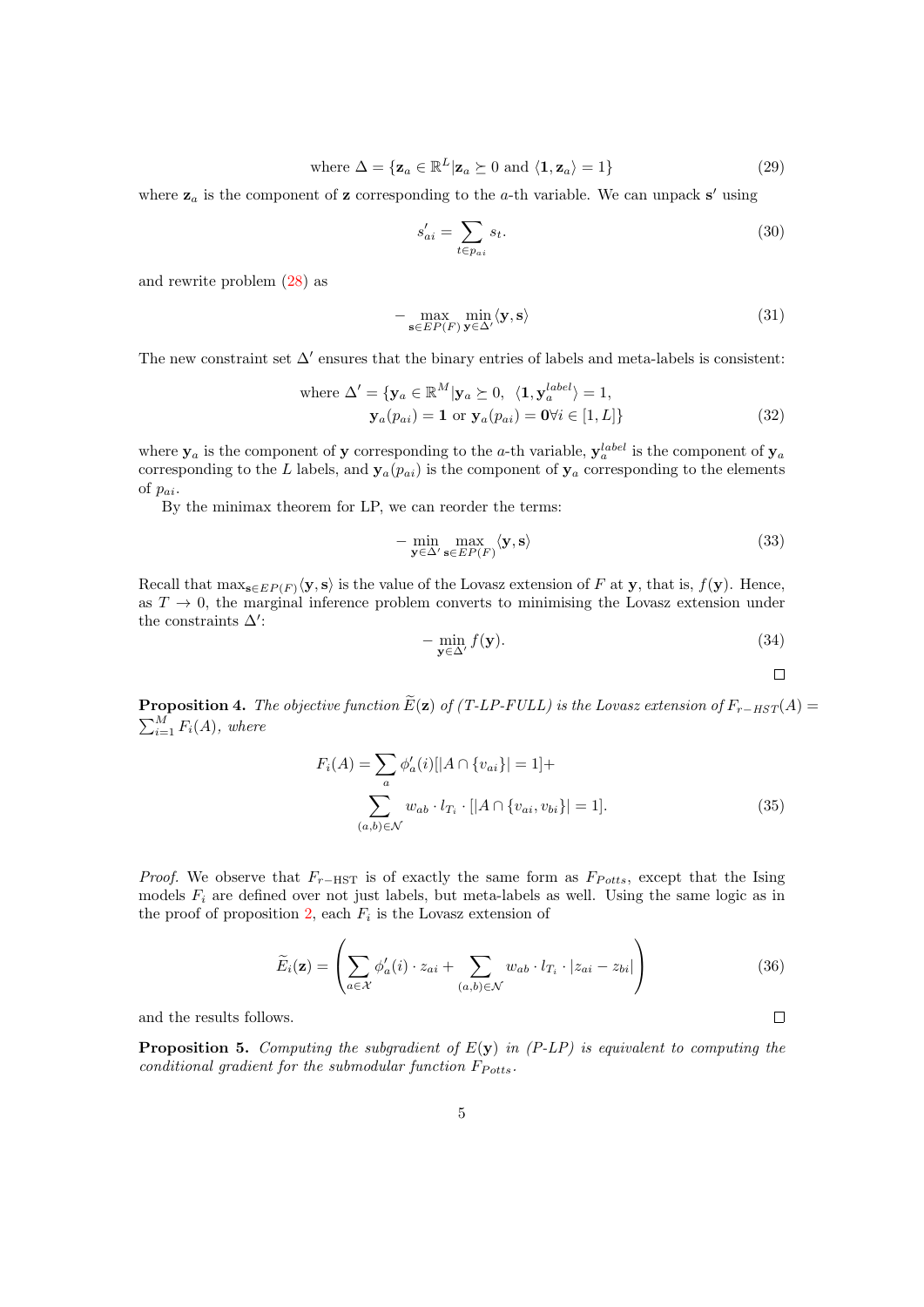where 
$$
\Delta = {\mathbf{z}_a \in \mathbb{R}^L | \mathbf{z}_a \succeq 0 \text{ and } \langle \mathbf{1}, \mathbf{z}_a \rangle = 1}
$$
 (29)

where  $z_a$  is the component of z corresponding to the a-th variable. We can unpack s' using

$$
s'_{ai} = \sum_{t \in p_{ai}} s_t.
$$
\n(30)

and rewrite problem [\(28\)](#page-3-1) as

$$
-\max_{\mathbf{s}\in EP(F)}\min_{\mathbf{y}\in\Delta'}\langle\mathbf{y},\mathbf{s}\rangle\tag{31}
$$

The new constraint set  $\Delta'$  ensures that the binary entries of labels and meta-labels is consistent:

where 
$$
\Delta' = {\mathbf{y}_a \in \mathbb{R}^M | \mathbf{y}_a \succeq 0, \langle \mathbf{1}, \mathbf{y}_a^{label} \rangle = 1},
$$
  
\n $\mathbf{y}_a(p_{ai}) = \mathbf{1} \text{ or } \mathbf{y}_a(p_{ai}) = \mathbf{0} \forall i \in [1, L] \}$  (32)

where  $y_a$  is the component of y corresponding to the a-th variable,  $y_a^{label}$  is the component of  $y_a$ corresponding to the L labels, and  $y_a(p_{ai})$  is the component of  $y_a$  corresponding to the elements of  $p_{ai}$ .

By the minimax theorem for LP, we can reorder the terms:

$$
-\min_{\mathbf{y}\in\Delta'\,\mathbf{s}\in EP(F)}\langle\mathbf{y},\mathbf{s}\rangle\tag{33}
$$

Recall that  $\max_{\mathbf{s}\in EP(F)}\langle \mathbf{y},\mathbf{s}\rangle$  is the value of the Lovasz extension of F at y, that is,  $f(\mathbf{y})$ . Hence, as  $T \to 0$ , the marginal inference problem converts to minimising the Lovasz extension under the constraints  $\Delta'$ :

$$
-\min_{\mathbf{y}\in\Delta'} f(\mathbf{y}).\tag{34}
$$

$$
\square^-
$$

 $\Box$ 

**Proposition 4.** The objective function  $\widetilde{E}(\mathbf{z})$  of (T-LP-FULL) is the Lovasz extension of  $F_{r-HST}(A)$  =  $\sum_{i=1}^{M} F_i(A)$ , where

$$
F_i(A) = \sum_{a} \phi'_a(i)[|A \cap \{v_{ai}\}| = 1] + \sum_{(a,b) \in \mathcal{N}} w_{ab} \cdot l_{T_i} \cdot [|A \cap \{v_{ai}, v_{bi}\}| = 1].
$$
\n(35)

*Proof.* We observe that  $F_{r-\text{HST}}$  is of exactly the same form as  $F_{Potts}$ , except that the Ising models  $F_i$  are defined over not just labels, but meta-labels as well. Using the same logic as in the proof of proposition [2,](#page-2-1) each  $F_i$  is the Lovasz extension of

$$
\widetilde{E}_i(\mathbf{z}) = \left( \sum_{a \in \mathcal{X}} \phi'_a(i) \cdot z_{ai} + \sum_{(a,b) \in \mathcal{N}} w_{ab} \cdot l_{T_i} \cdot |z_{ai} - z_{bi}| \right)
$$
\n(36)

and the results follows.

**Proposition 5.** Computing the subgradient of  $E(y)$  in (P-LP) is equivalent to computing the conditional gradient for the submodular function  $F_{Potts}$ .